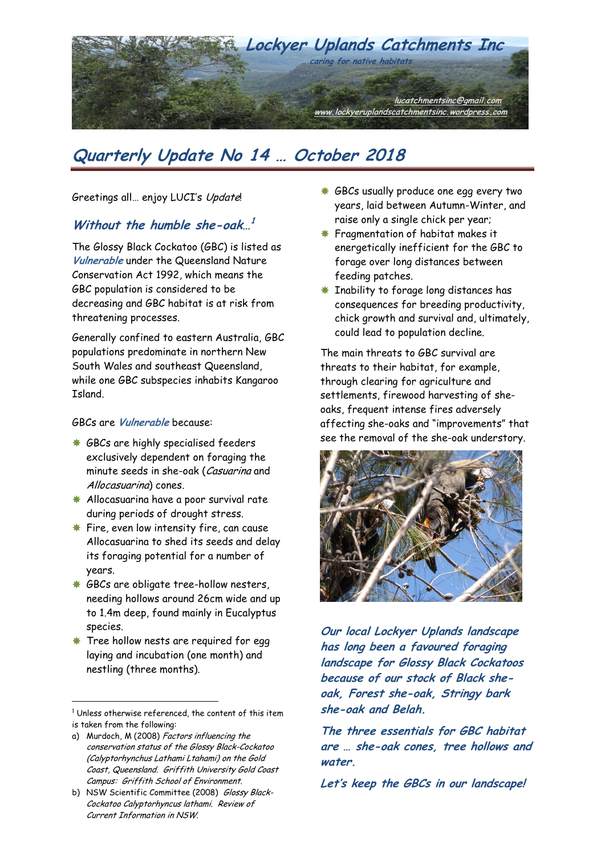

Greetings all… enjoy LUCI's Update!

### **Without the humble she-oak… 1**

The Glossy Black Cockatoo (GBC) is listed as **Vulnerable** under the Queensland Nature Conservation Act 1992, which means the GBC population is considered to be decreasing and GBC habitat is at risk from threatening processes.

Generally confined to eastern Australia, GBC populations predominate in northern New South Wales and southeast Queensland, while one GBC subspecies inhabits Kangaroo Island.

#### GBCs are **Vulnerable** because:

- **GBCs are highly specialised feeders** exclusively dependent on foraging the minute seeds in she-oak (Casuarina and Allocasuarina) cones.
- **Allocasuarina have a poor survival rate** during periods of drought stress.
- **Fire, even low intensity fire, can cause** Allocasuarina to shed its seeds and delay its foraging potential for a number of years.
- **GBCs are obligate tree-hollow nesters,** needing hollows around 26cm wide and up to 1.4m deep, found mainly in Eucalyptus species.
- **\*** Tree hollow nests are required for egg laying and incubation (one month) and nestling (three months).

 $\overline{a}$ 

<sup>1</sup> Unless otherwise referenced, the content of this item is taken from the following:

- a) Murdoch, M (2008) Factors influencing the conservation status of the Glossy Black-Cockatoo (Calyptorhynchus Lathami Ltahami) on the Gold Coast, Queensland. Griffith University Gold Coast Campus: Griffith School of Environment.
- b) NSW Scientific Committee (2008) Glossy Black-Cockatoo Calyptorhyncus lathami. Review of Current Information in NSW.
- $*$  **GBCs usually produce one egg every two** years, laid between Autumn-Winter, and raise only a single chick per year;
- **\*** Fragmentation of habitat makes it energetically inefficient for the GBC to forage over long distances between feeding patches.
- **K** Inability to forage long distances has consequences for breeding productivity, chick growth and survival and, ultimately, could lead to population decline.

The main threats to GBC survival are threats to their habitat, for example, through clearing for agriculture and settlements, firewood harvesting of sheoaks, frequent intense fires adversely affecting she-oaks and "improvements" that see the removal of the she-oak understory.



**Our local Lockyer Uplands landscape has long been a favoured foraging landscape for Glossy Black Cockatoos because of our stock of Black sheoak, Forest she-oak, Stringy bark she-oak and Belah.** 

**The three essentials for GBC habitat are … she-oak cones, tree hollows and water.** 

**Let's keep the GBCs in our landscape!**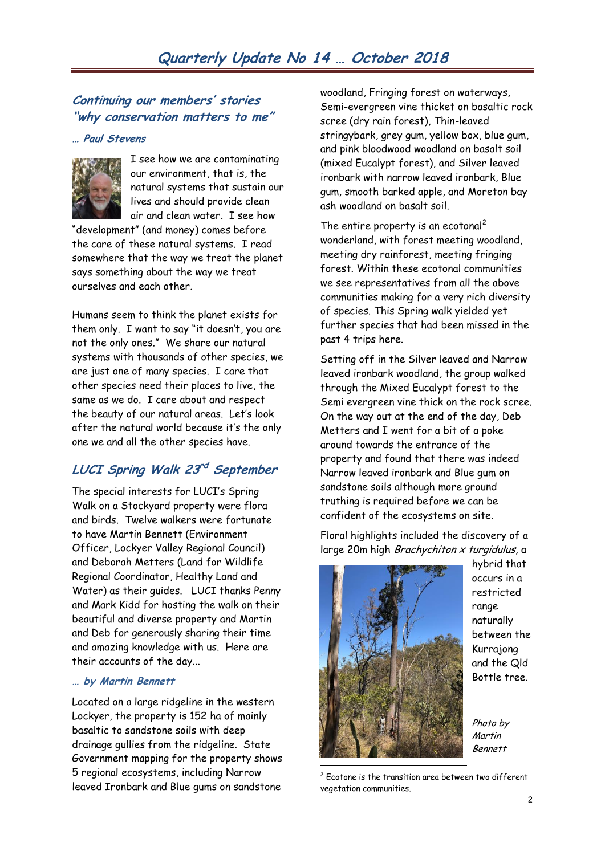## **Continuing our members' stories "why conservation matters to me"**

#### **… Paul Stevens**



I see how we are contaminating our environment, that is, the natural systems that sustain our lives and should provide clean air and clean water. I see how

"development" (and money) comes before the care of these natural systems. I read somewhere that the way we treat the planet says something about the way we treat ourselves and each other.

Humans seem to think the planet exists for them only. I want to say "it doesn't, you are not the only ones." We share our natural systems with thousands of other species, we are just one of many species. I care that other species need their places to live, the same as we do. I care about and respect the beauty of our natural areas. Let's look after the natural world because it's the only one we and all the other species have.

# **LUCI Spring Walk 23 rd September**

The special interests for LUCI's Spring Walk on a Stockyard property were flora and birds. Twelve walkers were fortunate to have Martin Bennett (Environment Officer, Lockyer Valley Regional Council) and Deborah Metters (Land for Wildlife Regional Coordinator, Healthy Land and Water) as their guides. LUCI thanks Penny and Mark Kidd for hosting the walk on their beautiful and diverse property and Martin and Deb for generously sharing their time and amazing knowledge with us. Here are their accounts of the day...

#### **… by Martin Bennett**

Located on a large ridgeline in the western Lockyer, the property is 152 ha of mainly basaltic to sandstone soils with deep drainage gullies from the ridgeline. State Government mapping for the property shows 5 regional ecosystems, including Narrow leaved Ironbark and Blue gums on sandstone

woodland, Fringing forest on waterways, Semi-evergreen vine thicket on basaltic rock scree (dry rain forest), Thin-leaved stringybark, grey gum, yellow box, blue gum, and pink bloodwood woodland on basalt soil (mixed Eucalypt forest), and Silver leaved ironbark with narrow leaved ironbark, Blue gum, smooth barked apple, and Moreton bay ash woodland on basalt soil.

The entire property is an ecotonal<sup>2</sup> wonderland, with forest meeting woodland, meeting dry rainforest, meeting fringing forest. Within these ecotonal communities we see representatives from all the above communities making for a very rich diversity of species. This Spring walk yielded yet further species that had been missed in the past 4 trips here.

Setting off in the Silver leaved and Narrow leaved ironbark woodland, the group walked through the Mixed Eucalypt forest to the Semi evergreen vine thick on the rock scree. On the way out at the end of the day, Deb Metters and I went for a bit of a poke around towards the entrance of the property and found that there was indeed Narrow leaved ironbark and Blue gum on sandstone soils although more ground truthing is required before we can be confident of the ecosystems on site.

Floral highlights included the discovery of a large 20m high Brachychiton x turgidulus, a



hybrid that occurs in a restricted range naturally between the Kurrajong and the Qld Bottle tree.

Photo by Martin Bennett

<sup>2</sup> Ecotone is the transition area between two different vegetation communities.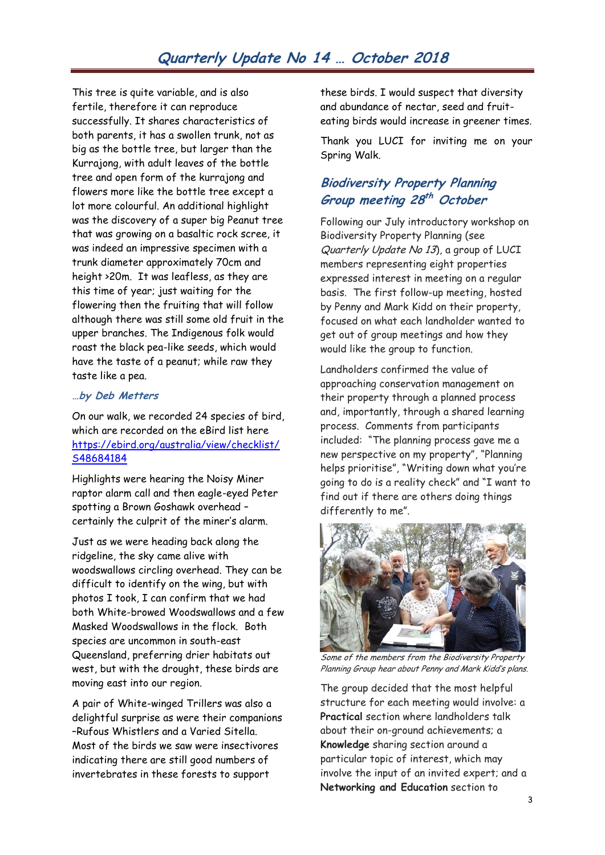This tree is quite variable, and is also fertile, therefore it can reproduce successfully. It shares characteristics of both parents, it has a swollen trunk, not as big as the bottle tree, but larger than the Kurrajong, with adult leaves of the bottle tree and open form of the kurrajong and flowers more like the bottle tree except a lot more colourful. An additional highlight was the discovery of a super big Peanut tree that was growing on a basaltic rock scree, it was indeed an impressive specimen with a trunk diameter approximately 70cm and height >20m. It was leafless, as they are this time of year; just waiting for the flowering then the fruiting that will follow although there was still some old fruit in the upper branches. The Indigenous folk would roast the black pea-like seeds, which would have the taste of a peanut; while raw they taste like a pea.

#### **…by Deb Metters**

On our walk, we recorded 24 species of bird, which are recorded on the eBird list here [https://ebird.org/australia/view/checklist/](https://ebird.org/australia/view/checklist/S48684184) [S48684184](https://ebird.org/australia/view/checklist/S48684184)

Highlights were hearing the Noisy Miner raptor alarm call and then eagle-eyed Peter spotting a Brown Goshawk overhead – certainly the culprit of the miner's alarm.

Just as we were heading back along the ridgeline, the sky came alive with woodswallows circling overhead. They can be difficult to identify on the wing, but with photos I took, I can confirm that we had both White-browed Woodswallows and a few Masked Woodswallows in the flock. Both species are uncommon in south-east Queensland, preferring drier habitats out west, but with the drought, these birds are moving east into our region.

A pair of White-winged Trillers was also a delightful surprise as were their companions –Rufous Whistlers and a Varied Sitella. Most of the birds we saw were insectivores indicating there are still good numbers of invertebrates in these forests to support

these birds. I would suspect that diversity and abundance of nectar, seed and fruiteating birds would increase in greener times.

Thank you LUCI for inviting me on your Spring Walk.

# **Biodiversity Property Planning Group meeting 28 th October**

Following our July introductory workshop on Biodiversity Property Planning (see Quarterly Update No 13), a group of LUCI members representing eight properties expressed interest in meeting on a regular basis. The first follow-up meeting, hosted by Penny and Mark Kidd on their property, focused on what each landholder wanted to get out of group meetings and how they would like the group to function.

Landholders confirmed the value of approaching conservation management on their property through a planned process and, importantly, through a shared learning process. Comments from participants included: "The planning process gave me a new perspective on my property", "Planning helps prioritise", "Writing down what you're going to do is a reality check" and "I want to find out if there are others doing things differently to me".



Some of the members from the Biodiversity Property Planning Group hear about Penny and Mark Kidd's plans.

The group decided that the most helpful structure for each meeting would involve: a **Practical** section where landholders talk about their on-ground achievements; a **Knowledge** sharing section around a particular topic of interest, which may involve the input of an invited expert; and a **Networking and Education** section to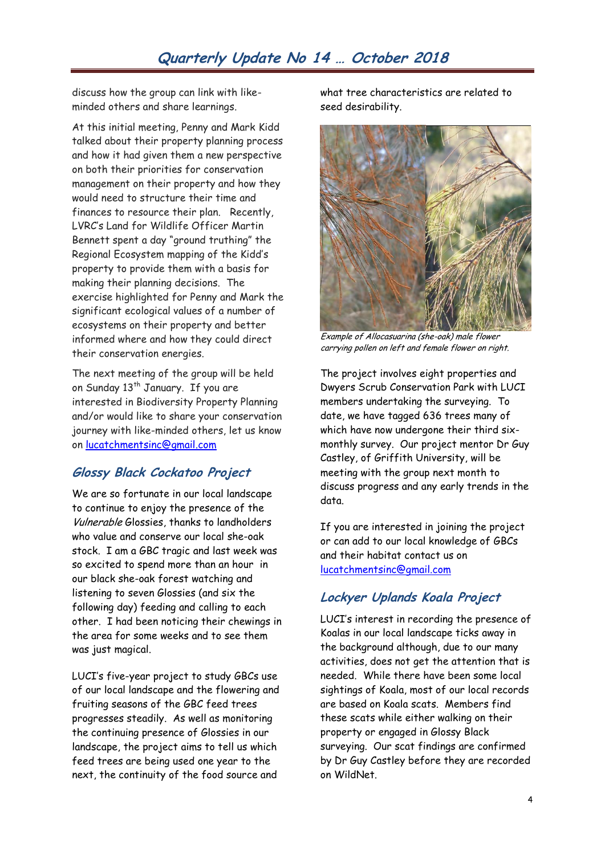discuss how the group can link with likeminded others and share learnings.

At this initial meeting, Penny and Mark Kidd talked about their property planning process and how it had given them a new perspective on both their priorities for conservation management on their property and how they would need to structure their time and finances to resource their plan. Recently, LVRC's Land for Wildlife Officer Martin Bennett spent a day "ground truthing" the Regional Ecosystem mapping of the Kidd's property to provide them with a basis for making their planning decisions. The exercise highlighted for Penny and Mark the significant ecological values of a number of ecosystems on their property and better informed where and how they could direct their conservation energies.

The next meeting of the group will be held on Sunday 13<sup>th</sup> January. If you are interested in Biodiversity Property Planning and/or would like to share your conservation journey with like-minded others, let us know on [lucatchmentsinc@gmail.com](mailto:lucatchmentsinc@gmail.com)

# **Glossy Black Cockatoo Project**

We are so fortunate in our local landscape to continue to enjoy the presence of the Vulnerable Glossies, thanks to landholders who value and conserve our local she-oak stock. I am a GBC tragic and last week was so excited to spend more than an hour in our black she-oak forest watching and listening to seven Glossies (and six the following day) feeding and calling to each other. I had been noticing their chewings in the area for some weeks and to see them was just magical.

LUCI's five-year project to study GBCs use of our local landscape and the flowering and fruiting seasons of the GBC feed trees progresses steadily. As well as monitoring the continuing presence of Glossies in our landscape, the project aims to tell us which feed trees are being used one year to the next, the continuity of the food source and

what tree characteristics are related to seed desirability.



Example of Allocasuarina (she-oak) male flower carrying pollen on left and female flower on right.

The project involves eight properties and Dwyers Scrub Conservation Park with LUCI members undertaking the surveying. To date, we have tagged 636 trees many of which have now undergone their third sixmonthly survey. Our project mentor Dr Guy Castley, of Griffith University, will be meeting with the group next month to discuss progress and any early trends in the data.

If you are interested in joining the project or can add to our local knowledge of GBCs and their habitat contact us on [lucatchmentsinc@gmail.com](mailto:lucatchmentsinc@gmail.com)

# **Lockyer Uplands Koala Project**

LUCI's interest in recording the presence of Koalas in our local landscape ticks away in the background although, due to our many activities, does not get the attention that is needed. While there have been some local sightings of Koala, most of our local records are based on Koala scats. Members find these scats while either walking on their property or engaged in Glossy Black surveying. Our scat findings are confirmed by Dr Guy Castley before they are recorded on WildNet.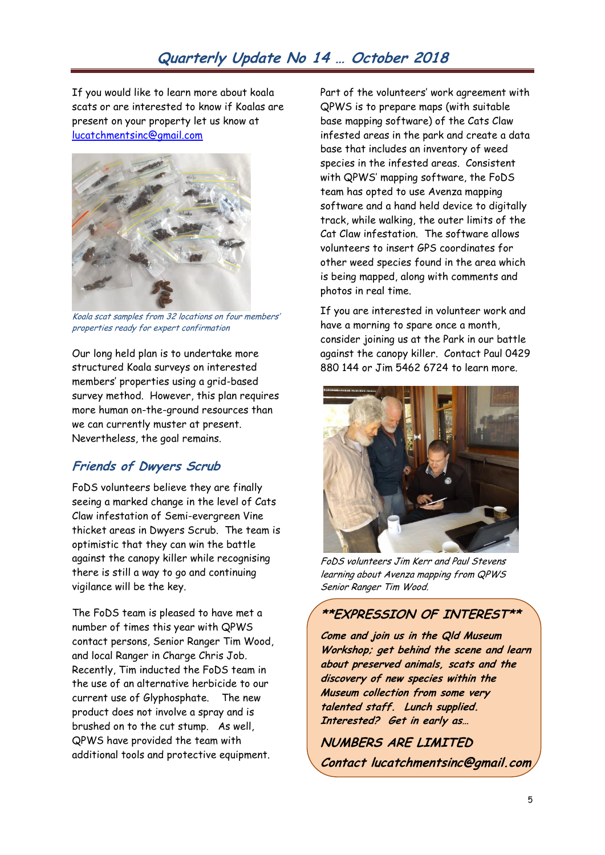If you would like to learn more about koala scats or are interested to know if Koalas are present on your property let us know at [lucatchmentsinc@gmail.com](mailto:lucatchmentsinc@gmail.com)



Koala scat samples from 32 locations on four members' properties ready for expert confirmation

Our long held plan is to undertake more structured Koala surveys on interested members' properties using a grid-based survey method. However, this plan requires more human on-the-ground resources than we can currently muster at present. Nevertheless, the goal remains.

# **Friends of Dwyers Scrub**

FoDS volunteers believe they are finally seeing a marked change in the level of Cats Claw infestation of Semi-evergreen Vine thicket areas in Dwyers Scrub. The team is optimistic that they can win the battle against the canopy killer while recognising there is still a way to go and continuing vigilance will be the key.

The FoDS team is pleased to have met a number of times this year with QPWS contact persons, Senior Ranger Tim Wood, and local Ranger in Charge Chris Job. Recently, Tim inducted the FoDS team in the use of an alternative herbicide to our current use of Glyphosphate. The new product does not involve a spray and is brushed on to the cut stump. As well, QPWS have provided the team with additional tools and protective equipment.

Part of the volunteers' work agreement with QPWS is to prepare maps (with suitable base mapping software) of the Cats Claw infested areas in the park and create a data base that includes an inventory of weed species in the infested areas. Consistent with QPWS' mapping software, the FoDS team has opted to use Avenza mapping software and a hand held device to digitally track, while walking, the outer limits of the Cat Claw infestation. The software allows volunteers to insert GPS coordinates for other weed species found in the area which is being mapped, along with comments and photos in real time.

If you are interested in volunteer work and have a morning to spare once a month, consider joining us at the Park in our battle against the canopy killer. Contact Paul 0429 880 144 or Jim 5462 6724 to learn more.



FoDS volunteers Jim Kerr and Paul Stevens learning about Avenza mapping from QPWS Senior Ranger Tim Wood.

### **\*\*EXPRESSION OF INTEREST\*\***

**Come and join us in the Qld Museum Workshop; get behind the scene and learn about preserved animals, scats and the discovery of new species within the Museum collection from some very talented staff. Lunch supplied. Interested? Get in early as…**

**NUMBERS ARE LIMITED Contact lucatchmentsinc@gmail.com**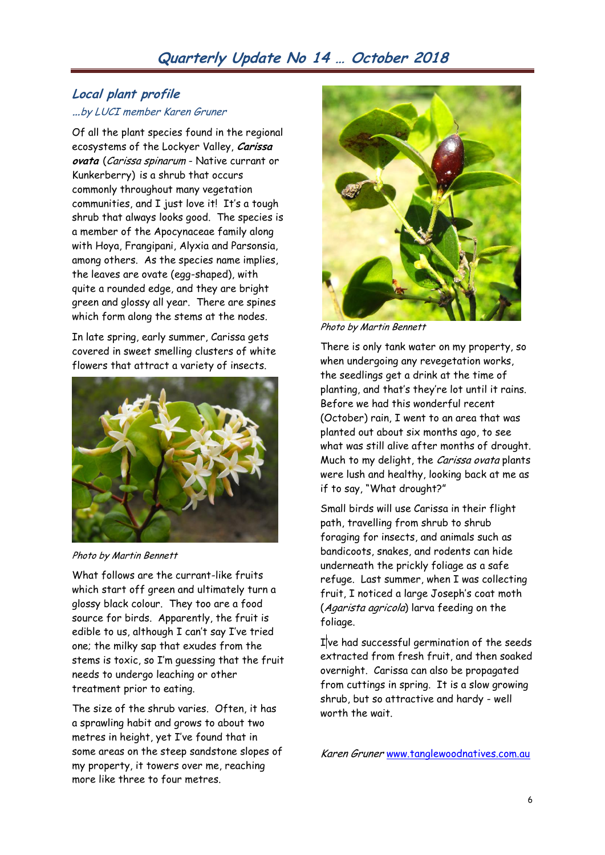### **Local plant profile …**by LUCI member Karen Gruner

Of all the plant species found in the regional ecosystems of the Lockyer Valley, **Carissa ovata** (Carissa spinarum - Native currant or Kunkerberry) is a shrub that occurs commonly throughout many vegetation communities, and I just love it! It's a tough shrub that always looks good. The species is a member of the Apocynaceae family along with Hoya, Frangipani, Alyxia and Parsonsia, among others. As the species name implies, the leaves are ovate (egg-shaped), with quite a rounded edge, and they are bright green and glossy all year. There are spines which form along the stems at the nodes.

In late spring, early summer, Carissa gets covered in sweet smelling clusters of white flowers that attract a variety of insects.



Photo by Martin Bennett

What follows are the currant-like fruits which start off green and ultimately turn a glossy black colour. They too are a food source for birds. Apparently, the fruit is edible to us, although I can't say I've tried one; the milky sap that exudes from the stems is toxic, so I'm guessing that the fruit needs to undergo leaching or other treatment prior to eating.

The size of the shrub varies. Often, it has a sprawling habit and grows to about two metres in height, yet I've found that in some areas on the steep sandstone slopes of my property, it towers over me, reaching more like three to four metres.

![](_page_5_Picture_8.jpeg)

Photo by Martin Bennett

There is only tank water on my property, so when undergoing any revegetation works, the seedlings get a drink at the time of planting, and that's they're lot until it rains. Before we had this wonderful recent (October) rain, I went to an area that was planted out about six months ago, to see what was still alive after months of drought. Much to my delight, the Carissa ovata plants were lush and healthy, looking back at me as if to say, "What drought?"

Small birds will use Carissa in their flight path, travelling from shrub to shrub foraging for insects, and animals such as bandicoots, snakes, and rodents can hide underneath the prickly foliage as a safe refuge. Last summer, when I was collecting fruit, I noticed a large Joseph's coat moth (Agarista agricola) larva feeding on the foliage.

I've had successful germination of the seeds extracted from fresh fruit, and then soaked overnight. Carissa can also be propagated from cuttings in spring. It is a slow growing shrub, but so attractive and hardy - well worth the wait.

Karen Gruner www.tanglewoodnatives.com.au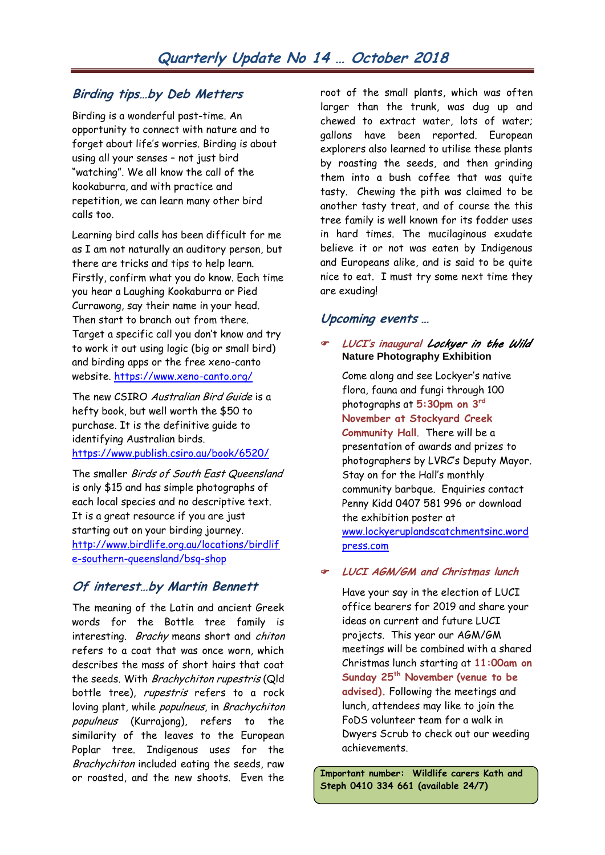# **Birding tips…by Deb Metters**

Birding is a wonderful past-time. An opportunity to connect with nature and to forget about life's worries. Birding is about using all your senses – not just bird "watching". We all know the call of the kookaburra, and with practice and repetition, we can learn many other bird calls too.

Learning bird calls has been difficult for me as I am not naturally an auditory person, but there are tricks and tips to help learn. Firstly, confirm what you do know. Each time you hear a Laughing Kookaburra or Pied Currawong, say their name in your head. Then start to branch out from there. Target a specific call you don't know and try to work it out using logic (big or small bird) and birding apps or the free xeno-canto website.<https://www.xeno-canto.org/>

The new CSIRO Australian Bird Guide is a hefty book, but well worth the \$50 to purchase. It is the definitive guide to identifying Australian birds. <https://www.publish.csiro.au/book/6520/>

The smaller Birds of South East Queensland is only \$15 and has simple photographs of each local species and no descriptive text. It is a great resource if you are just starting out on your birding journey. [http://www.birdlife.org.au/locations/birdlif](http://www.birdlife.org.au/locations/birdlife-southern-queensland/bsq-shop) [e-southern-queensland/bsq-shop](http://www.birdlife.org.au/locations/birdlife-southern-queensland/bsq-shop)

### **Of interest…by Martin Bennett**

The meaning of the Latin and ancient Greek words for the Bottle tree family is interesting. Brachy means short and chiton refers to a coat that was once worn, which describes the mass of short hairs that coat the seeds. With Brachychiton rupestris (Qld bottle tree), rupestris refers to a rock loving plant, while populneus, in Brachychiton populneus (Kurrajong), refers to the similarity of the leaves to the European Poplar tree. Indigenous uses for the Brachychiton included eating the seeds, raw or roasted, and the new shoots. Even the

root of the small plants, which was often larger than the trunk, was dug up and chewed to extract water, lots of water; gallons have been reported. European explorers also learned to utilise these plants by roasting the seeds, and then grinding them into a bush coffee that was quite tasty. Chewing the pith was claimed to be another tasty treat, and of course the this tree family is well known for its fodder uses in hard times. The mucilaginous exudate believe it or not was eaten by Indigenous and Europeans alike, and is said to be quite nice to eat. I must try some next time they are exuding!

### **Upcoming events …**

### **LUCI's inaugural** *Lockyer in the Wild*  **Nature Photography Exhibition**

Come along and see Lockyer's native flora, fauna and fungi through 100 photographs at **5:30pm on 3rd November at Stockyard Creek Community Hall**. There will be a presentation of awards and prizes to photographers by LVRC's Deputy Mayor. Stay on for the Hall's monthly community barbque. Enquiries contact Penny Kidd 0407 581 996 or download the exhibition poster at [www.lockyeruplandscatchmentsinc.word](http://www.lockyeruplandscatchmentsinc.wordpress.com/) [press.com](http://www.lockyeruplandscatchmentsinc.wordpress.com/) 

### **LUCI AGM/GM and Christmas lunch**

Have your say in the election of LUCI office bearers for 2019 and share your ideas on current and future LUCI projects. This year our AGM/GM meetings will be combined with a shared Christmas lunch starting at **11:00am on Sunday 25th November (venue to be advised).** Following the meetings and lunch, attendees may like to join the FoDS volunteer team for a walk in Dwyers Scrub to check out our weeding achievements.

**Important number: Wildlife carers Kath and Steph 0410 334 661 (available 24/7)**

7